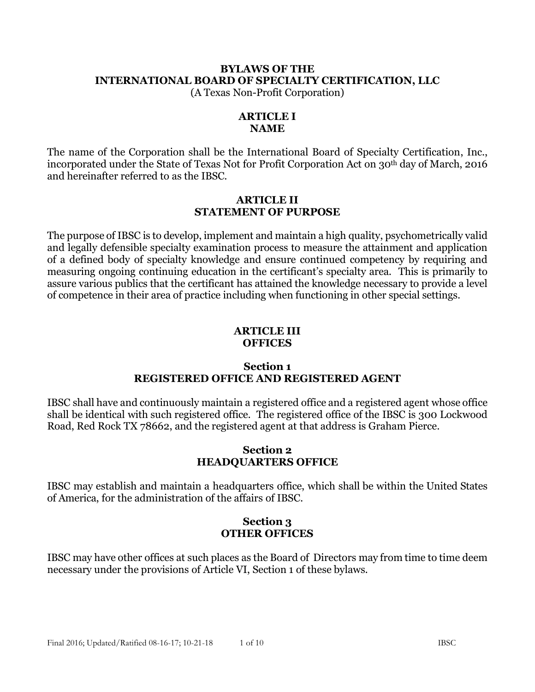# **BYLAWS OF THE INTERNATIONAL BOARD OF SPECIALTY CERTIFICATION, LLC**

(A Texas Non-Profit Corporation)

## **ARTICLE I NAME**

The name of the Corporation shall be the International Board of Specialty Certification, Inc., incorporated under the State of Texas Not for Profit Corporation Act on 30<sup>th</sup> day of March, 2016 and hereinafter referred to as the IBSC.

#### **ARTICLE II STATEMENT OF PURPOSE**

The purpose of IBSC is to develop, implement and maintain a high quality, psychometrically valid and legally defensible specialty examination process to measure the attainment and application of a defined body of specialty knowledge and ensure continued competency by requiring and measuring ongoing continuing education in the certificant's specialty area. This is primarily to assure various publics that the certificant has attained the knowledge necessary to provide a level of competence in their area of practice including when functioning in other special settings.

#### **ARTICLE III OFFICES**

## **Section 1 REGISTERED OFFICE AND REGISTERED AGENT**

IBSC shall have and continuously maintain a registered office and a registered agent whose office shall be identical with such registered office. The registered office of the IBSC is 300 Lockwood Road, Red Rock TX 78662, and the registered agent at that address is Graham Pierce.

## **Section 2 HEADQUARTERS OFFICE**

IBSC may establish and maintain a headquarters office, which shall be within the United States of America, for the administration of the affairs of IBSC.

# **Section 3 OTHER OFFICES**

IBSC may have other offices at such places as the Board of Directors may from time to time deem necessary under the provisions of Article VI, Section 1 of these bylaws.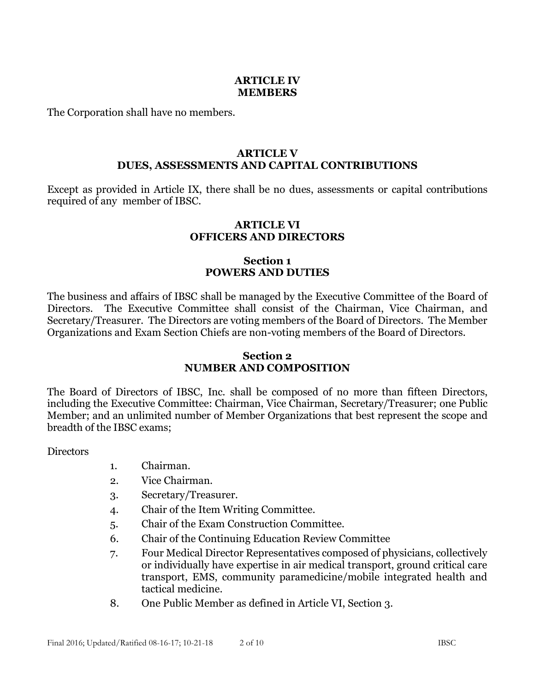#### **ARTICLE IV MEMBERS**

The Corporation shall have no members.

### **ARTICLE V DUES, ASSESSMENTS AND CAPITAL CONTRIBUTIONS**

Except as provided in Article IX, there shall be no dues, assessments or capital contributions required of any member of IBSC.

#### **ARTICLE VI OFFICERS AND DIRECTORS**

# **Section 1 POWERS AND DUTIES**

The business and affairs of IBSC shall be managed by the Executive Committee of the Board of Directors. The Executive Committee shall consist of the Chairman, Vice Chairman, and Secretary/Treasurer. The Directors are voting members of the Board of Directors. The Member Organizations and Exam Section Chiefs are non-voting members of the Board of Directors.

### **Section 2 NUMBER AND COMPOSITION**

The Board of Directors of IBSC, Inc. shall be composed of no more than fifteen Directors, including the Executive Committee: Chairman, Vice Chairman, Secretary/Treasurer; one Public Member; and an unlimited number of Member Organizations that best represent the scope and breadth of the IBSC exams;

**Directors** 

- 1. Chairman.
- 2. Vice Chairman.
- 3. Secretary/Treasurer.
- 4. Chair of the Item Writing Committee.
- 5. Chair of the Exam Construction Committee.
- 6. Chair of the Continuing Education Review Committee
- 7. Four Medical Director Representatives composed of physicians, collectively or individually have expertise in air medical transport, ground critical care transport, EMS, community paramedicine/mobile integrated health and tactical medicine.
- 8. One Public Member as defined in Article VI, Section 3.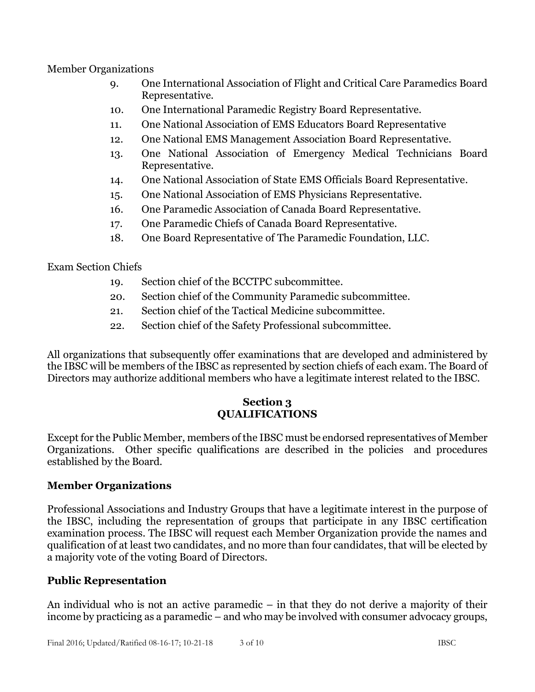Member Organizations

- 9. One International Association of Flight and Critical Care Paramedics Board Representative.
- 10. One International Paramedic Registry Board Representative.
- 11. One National Association of EMS Educators Board Representative
- 12. One National EMS Management Association Board Representative.
- 13. One National Association of Emergency Medical Technicians Board Representative.
- 14. One National Association of State EMS Officials Board Representative.
- 15. One National Association of EMS Physicians Representative.
- 16. One Paramedic Association of Canada Board Representative.
- 17. One Paramedic Chiefs of Canada Board Representative.
- 18. One Board Representative of The Paramedic Foundation, LLC.

Exam Section Chiefs

- 19. Section chief of the BCCTPC subcommittee.
- 20. Section chief of the Community Paramedic subcommittee.
- 21. Section chief of the Tactical Medicine subcommittee.
- 22. Section chief of the Safety Professional subcommittee.

All organizations that subsequently offer examinations that are developed and administered by the IBSC will be members of the IBSC as represented by section chiefs of each exam. The Board of Directors may authorize additional members who have a legitimate interest related to the IBSC.

# **Section 3 QUALIFICATIONS**

Except for the Public Member, members of the IBSC must be endorsed representatives of Member Organizations. Other specific qualifications are described in the policies and procedures established by the Board.

# **Member Organizations**

Professional Associations and Industry Groups that have a legitimate interest in the purpose of the IBSC, including the representation of groups that participate in any IBSC certification examination process. The IBSC will request each Member Organization provide the names and qualification of at least two candidates, and no more than four candidates, that will be elected by a majority vote of the voting Board of Directors.

# **Public Representation**

An individual who is not an active paramedic – in that they do not derive a majority of their income by practicing as a paramedic – and who may be involved with consumer advocacy groups,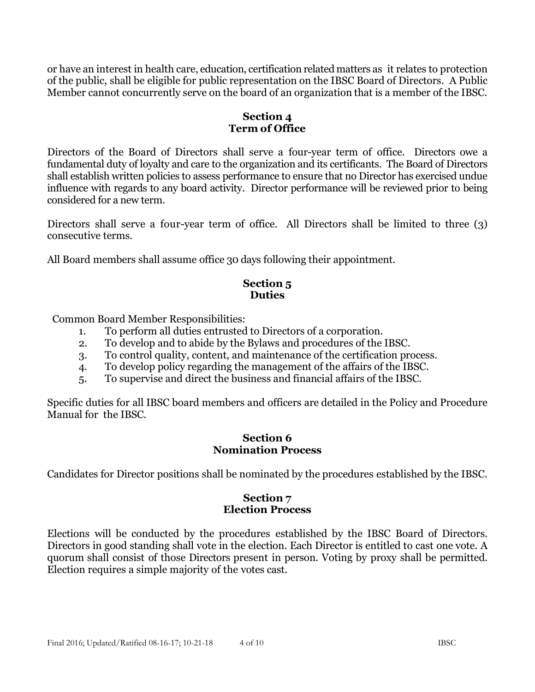or have an interest in health care, education, certification related matters as it relates to protection of the public, shall be eligible for public representation on the IBSC Board of Directors. A Public Member cannot concurrently serve on the board of an organization that is a member of the IBSC.

# **Section 4 Term of Office**

Directors of the Board of Directors shall serve a four-year term of office. Directors owe a fundamental duty of loyalty and care to the organization and its certificants. The Board of Directors shall establish written policies to assess performance to ensure that no Director has exercised undue influence with regards to any board activity. Director performance will be reviewed prior to being considered for a new term.

Directors shall serve a four-year term of office. All Directors shall be limited to three (3) consecutive terms.

All Board members shall assume office 30 days following their appointment.

### **Section 5 Duties**

Common Board Member Responsibilities:

- 1. To perform all duties entrusted to Directors of a corporation.
- 2. To develop and to abide by the Bylaws and procedures of the IBSC.
- 3. To control quality, content, and maintenance of the certification process.
- 4. To develop policy regarding the management of the affairs of the IBSC.
- 5. To supervise and direct the business and financial affairs of the IBSC.

Specific duties for all IBSC board members and officers are detailed in the Policy and Procedure Manual for the IBSC.

### **Section 6 Nomination Process**

Candidates for Director positions shall be nominated by the procedures established by the IBSC.

## **Section 7 Election Process**

Elections will be conducted by the procedures established by the IBSC Board of Directors. Directors in good standing shall vote in the election. Each Director is entitled to cast one vote. A quorum shall consist of those Directors present in person. Voting by proxy shall be permitted. Election requires a simple majority of the votes cast.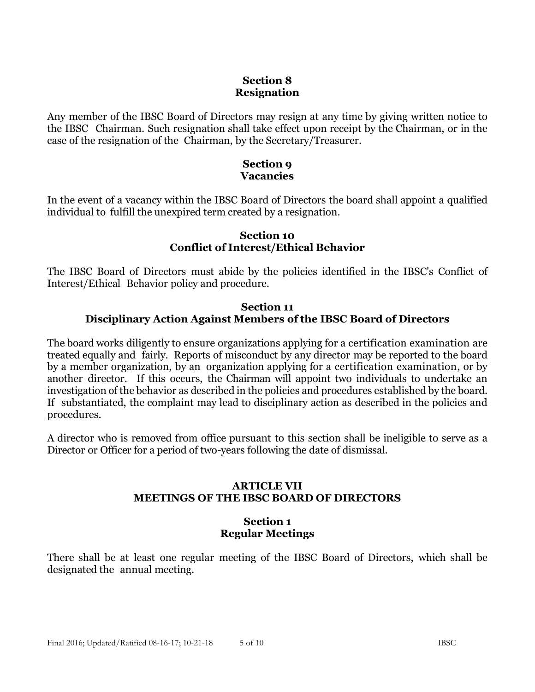## **Section 8 Resignation**

Any member of the IBSC Board of Directors may resign at any time by giving written notice to the IBSC Chairman. Such resignation shall take effect upon receipt by the Chairman, or in the case of the resignation of the Chairman, by the Secretary/Treasurer.

### **Section 9 Vacancies**

In the event of a vacancy within the IBSC Board of Directors the board shall appoint a qualified individual to fulfill the unexpired term created by a resignation.

#### **Section 10 Conflict of Interest/Ethical Behavior**

The IBSC Board of Directors must abide by the policies identified in the IBSC's Conflict of Interest/Ethical Behavior policy and procedure.

### **Section 11 Disciplinary Action Against Members of the IBSC Board of Directors**

The board works diligently to ensure organizations applying for a certification examination are treated equally and fairly. Reports of misconduct by any director may be reported to the board by a member organization, by an organization applying for a certification examination, or by another director. If this occurs, the Chairman will appoint two individuals to undertake an investigation of the behavior as described in the policies and procedures established by the board. If substantiated, the complaint may lead to disciplinary action as described in the policies and procedures.

A director who is removed from office pursuant to this section shall be ineligible to serve as a Director or Officer for a period of two-years following the date of dismissal.

### **ARTICLE VII MEETINGS OF THE IBSC BOARD OF DIRECTORS**

## **Section 1 Regular Meetings**

There shall be at least one regular meeting of the IBSC Board of Directors, which shall be designated the annual meeting.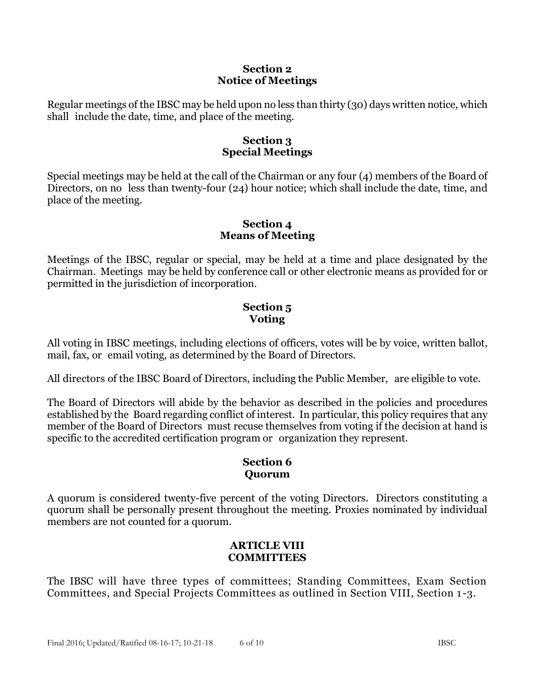### **Section 2 Notice of Meetings**

Regular meetings of the IBSC may be held upon no less than thirty (30) days written notice, which shall include the date, time, and place of the meeting.

## **Section 3 Special Meetings**

Special meetings may be held at the call of the Chairman or any four (4) members of the Board of Directors, on no less than twenty-four (24) hour notice; which shall include the date, time, and place of the meeting.

## **Section 4 Means of Meeting**

Meetings of the IBSC, regular or special, may be held at a time and place designated by the Chairman. Meetings may be held by conference call or other electronic means as provided for or permitted in the jurisdiction of incorporation.

# **Section 5 Voting**

All voting in IBSC meetings, including elections of officers, votes will be by voice, written ballot, mail, fax, or email voting, as determined by the Board of Directors.

All directors of the IBSC Board of Directors, including the Public Member, are eligible to vote.

The Board of Directors will abide by the behavior as described in the policies and procedures established by the Board regarding conflict of interest. In particular, this policy requires that any member of the Board of Directors must recuse themselves from voting if the decision at hand is specific to the accredited certification program or organization they represent.

# **Section 6 Quorum**

A quorum is considered twenty-five percent of the voting Directors. Directors constituting a quorum shall be personally present throughout the meeting. Proxies nominated by individual members are not counted for a quorum.

## **ARTICLE VIII COMMITTEES**

The IBSC will have three types of committees; Standing Committees, Exam Section Committees, and Special Projects Committees as outlined in Section VIII, Section 1 -3.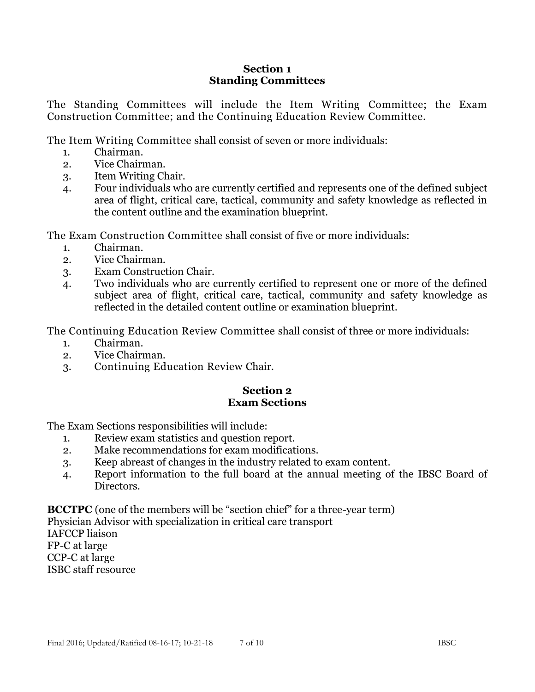### **Section 1 Standing Committees**

The Standing Committees will include the Item Writing Committee; the Exam Construction Committee; and the Continuing Education Review Committee.

The Item Writing Committee shall consist of seven or more individuals:

- 1. Chairman.
- 2. Vice Chairman.
- 3. Item Writing Chair.
- 4. Four individuals who are currently certified and represents one of the defined subject area of flight, critical care, tactical, community and safety knowledge as reflected in the content outline and the examination blueprint.

The Exam Construction Committee shall consist of five or more individuals:

- 1. Chairman.
- 2. Vice Chairman.
- 3. Exam Construction Chair.
- 4. Two individuals who are currently certified to represent one or more of the defined subject area of flight, critical care, tactical, community and safety knowledge as reflected in the detailed content outline or examination blueprint.

The Continuing Education Review Committee shall consist of three or more individuals:

- 1. Chairman.
- 2. Vice Chairman.
- 3. Continuing Education Review Chair.

### **Section 2 Exam Sections**

The Exam Sections responsibilities will include:

- 1. Review exam statistics and question report.
- 2. Make recommendations for exam modifications.
- 3. Keep abreast of changes in the industry related to exam content.
- 4. Report information to the full board at the annual meeting of the IBSC Board of Directors.

**BCCTPC** (one of the members will be "section chief" for a three-year term) Physician Advisor with specialization in critical care transport IAFCCP liaison FP-C at large CCP-C at large

ISBC staff resource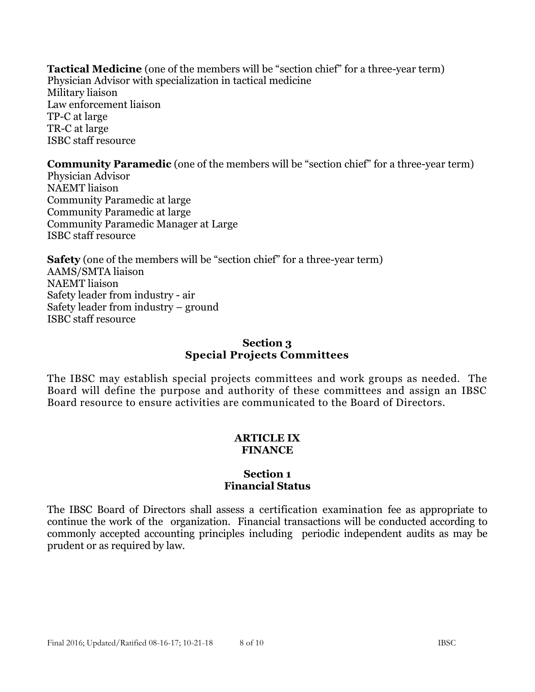**Tactical Medicine** (one of the members will be "section chief" for a three-year term) Physician Advisor with specialization in tactical medicine Military liaison Law enforcement liaison TP-C at large TR-C at large ISBC staff resource

**Community Paramedic** (one of the members will be "section chief" for a three-year term) Physician Advisor NAEMT liaison Community Paramedic at large Community Paramedic at large

Community Paramedic Manager at Large ISBC staff resource

**Safety** (one of the members will be "section chief" for a three-year term) AAMS/SMTA liaison NAEMT liaison Safety leader from industry - air Safety leader from industry – ground ISBC staff resource

# **Section 3 Special Projects Committees**

The IBSC may establish special projects committees and work groups as needed. The Board will define the purpose and authority of these committees and assign an IBSC Board resource to ensure activities are communicated to the Board of Directors.

## **ARTICLE IX FINANCE**

### **Section 1 Financial Status**

The IBSC Board of Directors shall assess a certification examination fee as appropriate to continue the work of the organization. Financial transactions will be conducted according to commonly accepted accounting principles including periodic independent audits as may be prudent or as required by law.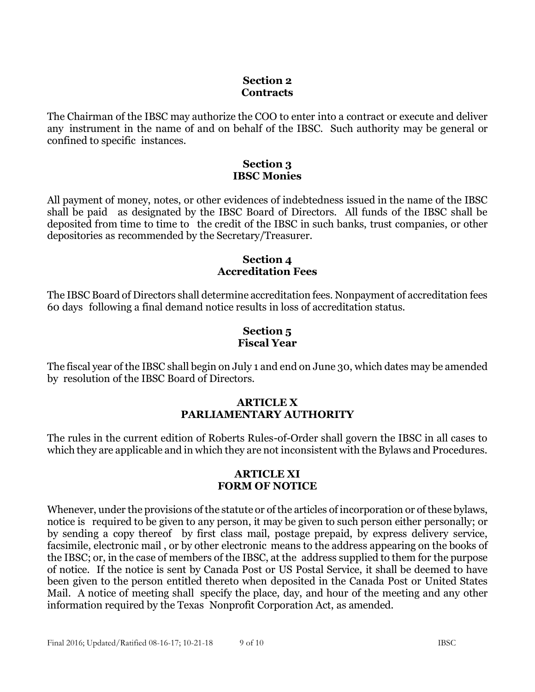### **Section 2 Contracts**

The Chairman of the IBSC may authorize the COO to enter into a contract or execute and deliver any instrument in the name of and on behalf of the IBSC. Such authority may be general or confined to specific instances.

### **Section 3 IBSC Monies**

All payment of money, notes, or other evidences of indebtedness issued in the name of the IBSC shall be paid as designated by the IBSC Board of Directors. All funds of the IBSC shall be deposited from time to time to the credit of the IBSC in such banks, trust companies, or other depositories as recommended by the Secretary/Treasurer.

### **Section 4 Accreditation Fees**

The IBSC Board of Directors shall determine accreditation fees. Nonpayment of accreditation fees 60 days following a final demand notice results in loss of accreditation status.

## **Section 5 Fiscal Year**

The fiscal year of the IBSC shall begin on July 1 and end on June 30, which dates may be amended by resolution of the IBSC Board of Directors.

## **ARTICLE X PARLIAMENTARY AUTHORITY**

The rules in the current edition of Roberts Rules-of-Order shall govern the IBSC in all cases to which they are applicable and in which they are not inconsistent with the Bylaws and Procedures.

### **ARTICLE XI FORM OF NOTICE**

Whenever, under the provisions of the statute or of the articles of incorporation or of these bylaws, notice is required to be given to any person, it may be given to such person either personally; or by sending a copy thereof by first class mail, postage prepaid, by express delivery service, facsimile, electronic mail , or by other electronic means to the address appearing on the books of the IBSC; or, in the case of members of the IBSC, at the address supplied to them for the purpose of notice. If the notice is sent by Canada Post or US Postal Service, it shall be deemed to have been given to the person entitled thereto when deposited in the Canada Post or United States Mail. A notice of meeting shall specify the place, day, and hour of the meeting and any other information required by the Texas Nonprofit Corporation Act, as amended.